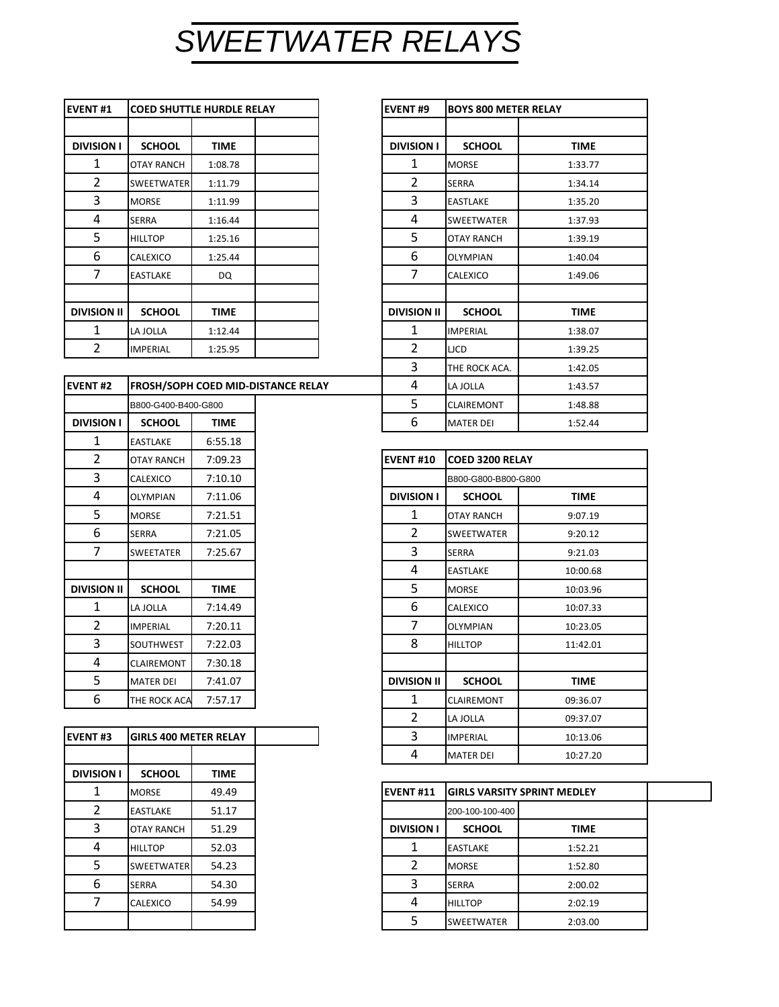## *SWEETWATER RELAYS*

| <b>EVENT#1</b>     | <b>COED SHUTTLE HURDLE RELAY</b> |         |  | <b>EVENT#9</b>     | <b>BOYS 800 METER RELAY</b> |             |
|--------------------|----------------------------------|---------|--|--------------------|-----------------------------|-------------|
| <b>DIVISION I</b>  | <b>SCHOOL</b>                    | TIME    |  | <b>DIVISION I</b>  | <b>SCHOOL</b>               | <b>TIME</b> |
| 1                  | OTAY RANCH                       | 1:08.78 |  | 1                  | <b>MORSE</b>                | 1:33.77     |
| 2                  | <b>SWEETWATER</b>                | 1:11.79 |  | 2                  | <b>SERRA</b>                | 1:34.14     |
| 3                  | <b>MORSE</b>                     | 1:11.99 |  | 3                  | <b>EASTLAKE</b>             | 1:35.20     |
| 4                  | <b>SERRA</b>                     | 1:16.44 |  | 4                  | <b>SWEETWATER</b>           | 1:37.93     |
| 5.                 | <b>HILLTOP</b>                   | 1:25.16 |  | 5                  | OTAY RANCH                  | 1:39.19     |
| 6                  | CALEXICO                         | 1:25.44 |  | 6                  | <b>OLYMPIAN</b>             | 1:40.04     |
| 7                  | <b>EASTLAKE</b>                  | DQ      |  | 7                  | <b>CALEXICO</b>             | 1:49.06     |
|                    |                                  |         |  |                    |                             |             |
| <b>DIVISION II</b> | <b>SCHOOL</b>                    | TIME    |  | <b>DIVISION II</b> | <b>SCHOOL</b>               | <b>TIME</b> |
| 1                  | LA JOLLA                         | 1:12.44 |  | 1                  | <b>IMPERIAL</b>             | 1:38.07     |
| 2                  | <b>IMPERIAL</b>                  | 1:25.95 |  | 2                  | <b>LJCD</b>                 | 1:39.25     |

| <b>EVENT#2</b>     |                     |             | FROSH/SOPH COED MID-DISTANCE RELAY | 4                  | LA JOLLA               | 1:43.57  |
|--------------------|---------------------|-------------|------------------------------------|--------------------|------------------------|----------|
|                    | B800-G400-B400-G800 |             |                                    | 5                  | <b>CLAIREMONT</b>      | 1:48.88  |
| <b>DIVISION I</b>  | <b>SCHOOL</b>       | <b>TIME</b> |                                    | 6                  | <b>MATER DEI</b>       | 1:52.44  |
| 1                  | <b>EASTLAKE</b>     | 6:55.18     |                                    |                    |                        |          |
| $\overline{2}$     | <b>OTAY RANCH</b>   | 7:09.23     |                                    | <b>EVENT#10</b>    | <b>COED 3200 RELAY</b> |          |
| 3                  | <b>CALEXICO</b>     | 7:10.10     |                                    |                    | B800-G800-B800-G800    |          |
| 4                  | <b>OLYMPIAN</b>     | 7:11.06     |                                    | <b>DIVISION I</b>  | <b>SCHOOL</b>          | TIME     |
| 5                  | <b>MORSE</b>        | 7:21.51     |                                    | 1                  | <b>OTAY RANCH</b>      | 9:07.19  |
| 6                  | <b>SERRA</b>        | 7:21.05     |                                    | $\overline{2}$     | <b>SWEETWATER</b>      | 9:20.12  |
| 7                  | <b>SWEETATER</b>    | 7:25.67     |                                    | 3                  | <b>SERRA</b>           | 9:21.03  |
|                    |                     |             |                                    | 4                  | <b>EASTLAKE</b>        | 10:00.68 |
| <b>DIVISION II</b> | <b>SCHOOL</b>       | <b>TIME</b> |                                    | 5                  | <b>MORSE</b>           | 10:03.96 |
| 1                  | LA JOLLA            | 7:14.49     |                                    | 6                  | <b>CALEXICO</b>        | 10:07.33 |
| 2                  | <b>IMPERIAL</b>     | 7:20.11     |                                    | 7                  | <b>OLYMPIAN</b>        | 10:23.05 |
| 3                  | <b>SOUTHWEST</b>    | 7:22.03     |                                    | 8                  | <b>HILLTOP</b>         | 11:42.01 |
| 4                  | <b>CLAIREMONT</b>   | 7:30.18     |                                    |                    |                        |          |
| 5                  | <b>MATER DEI</b>    | 7:41.07     |                                    | <b>DIVISION II</b> | <b>SCHOOL</b>          | TIME     |
| 6                  | THE ROCK ACA        | 7:57.17     |                                    | 1                  | <b>CLAIREMONT</b>      | 09:36.07 |

| <b>EVENT#3</b>    | <b>GIRLS 400 METER RELAY</b> |             |
|-------------------|------------------------------|-------------|
|                   |                              |             |
| <b>DIVISION I</b> | <b>SCHOOL</b>                | <b>TIME</b> |
| 1                 | <b>MORSE</b>                 | 49.49       |
| 2                 | <b>EASTLAKE</b>              | 51.17       |
| 3                 | <b>OTAY RANCH</b>            | 51.29       |
| 4                 | <b>HILLTOP</b>               | 52.03       |
| 5                 | <b>SWEETWATER</b>            | 54.23       |
| 6                 | <b>SERRA</b>                 | 54.30       |
| 7                 | <b>CALEXICO</b>              | 54.99       |
|                   |                              |             |
|                   |                              |             |

| <b>COED SHUTTLE HURDLE RELAY</b> |             |                                    | <b>EVENT#9</b>     | <b>BOYS 800 METER RELAY</b> |             |
|----------------------------------|-------------|------------------------------------|--------------------|-----------------------------|-------------|
|                                  |             |                                    |                    |                             |             |
| <b>SCHOOL</b>                    | <b>TIME</b> |                                    | <b>DIVISION I</b>  | <b>SCHOOL</b>               | <b>TIME</b> |
| <b>OTAY RANCH</b>                | 1:08.78     |                                    | 1                  | <b>MORSE</b>                | 1:33.77     |
| <b>SWEETWATER</b>                | 1:11.79     |                                    | $\overline{2}$     | <b>SERRA</b>                | 1:34.14     |
| <b>MORSE</b>                     | 1:11.99     |                                    | 3                  | <b>EASTLAKE</b>             | 1:35.20     |
| <b>SERRA</b>                     | 1:16.44     |                                    | 4                  | SWEETWATER                  | 1:37.93     |
| <b>HILLTOP</b>                   | 1:25.16     |                                    | 5                  | <b>OTAY RANCH</b>           | 1:39.19     |
| CALEXICO                         | 1:25.44     |                                    | 6                  | <b>OLYMPIAN</b>             | 1:40.04     |
| <b>EASTLAKE</b>                  | DQ          |                                    | 7                  | CALEXICO                    | 1:49.06     |
|                                  |             |                                    |                    |                             |             |
| <b>SCHOOL</b>                    | <b>TIME</b> |                                    | <b>DIVISION II</b> | <b>SCHOOL</b>               | <b>TIME</b> |
| LA JOLLA                         | 1:12.44     |                                    | $\mathbf{1}$       | <b>IMPERIAL</b>             | 1:38.07     |
| <b>IMPERIAL</b>                  | 1:25.95     |                                    | $\overline{2}$     | <b>LICD</b>                 | 1:39.25     |
|                                  |             |                                    | 3                  | THE ROCK ACA.               | 1:42.05     |
|                                  |             | FROSH/SOPH COED MID-DISTANCE RELAY | 4                  | LA JOLLA                    | 1:43.57     |
| B800-G400-B400-G800              |             |                                    | 5                  | <b>CLAIREMONT</b>           | 1:48.88     |
| <b>SCHOOL</b>                    | <b>TIME</b> |                                    | 6                  | <b>MATER DEI</b>            | 1:52.44     |

| $\overline{2}$ | <b>OTAY RANCH</b>            | 7:09.23     | <b>EVENT#10</b> |                    |                     | <b>COED 3200 RELAY</b> |  |  |
|----------------|------------------------------|-------------|-----------------|--------------------|---------------------|------------------------|--|--|
| 3              | CALEXICO                     | 7:10.10     |                 |                    | B800-G800-B800-G800 |                        |  |  |
|                | <b>OLYMPIAN</b>              | 7:11.06     |                 | <b>DIVISION I</b>  | <b>SCHOOL</b>       | <b>TIME</b>            |  |  |
|                | <b>MORSE</b>                 | 7:21.51     |                 | 1                  | <b>OTAY RANCH</b>   | 9:07.19                |  |  |
|                | <b>SERRA</b>                 | 7:21.05     |                 | $\overline{2}$     | <b>SWEETWATER</b>   | 9:20.12                |  |  |
|                | <b>SWEETATER</b>             | 7:25.67     |                 | 3                  | <b>SERRA</b>        | 9:21.03                |  |  |
|                |                              |             |                 | 4                  | <b>EASTLAKE</b>     | 10:00.68               |  |  |
| <b>SION II</b> | <b>SCHOOL</b>                | <b>TIME</b> |                 | 5                  | <b>MORSE</b>        | 10:03.96               |  |  |
|                | LA JOLLA                     | 7:14.49     |                 | 6                  | CALEXICO            | 10:07.33               |  |  |
|                | <b>IMPERIAL</b>              | 7:20.11     |                 | 7                  | <b>OLYMPIAN</b>     | 10:23.05               |  |  |
|                | SOUTHWEST                    | 7:22.03     |                 | 8                  | <b>HILLTOP</b>      | 11:42.01               |  |  |
|                | <b>CLAIREMONT</b>            | 7:30.18     |                 |                    |                     |                        |  |  |
|                | <b>MATER DEI</b>             | 7:41.07     |                 | <b>DIVISION II</b> | <b>SCHOOL</b>       | <b>TIME</b>            |  |  |
|                | THE ROCK ACA                 | 7:57.17     |                 | 1                  | <b>CLAIREMONT</b>   | 09:36.07               |  |  |
|                |                              |             |                 | 2                  | LA JOLLA            | 09:37.07               |  |  |
| T#3            | <b>GIRLS 400 METER RELAY</b> |             |                 | 3                  | <b>IMPERIAL</b>     | 10:13.06               |  |  |
|                |                              |             |                 | 4                  | <b>MATER DEI</b>    | 10:27.20               |  |  |

| . | ------            | .     |
|---|-------------------|-------|
|   | <b>MORSE</b>      | 49.49 |
| 2 | <b>EASTLAKE</b>   | 51.17 |
| 3 | <b>OTAY RANCH</b> | 51.29 |
| 4 | <b>HILLTOP</b>    | 52.03 |
| 5 | SWEETWATER        | 54.23 |
| 6 | <b>SERRA</b>      | 54.30 |
| 7 | <b>CALEXICO</b>   | 54.99 |
|   |                   |       |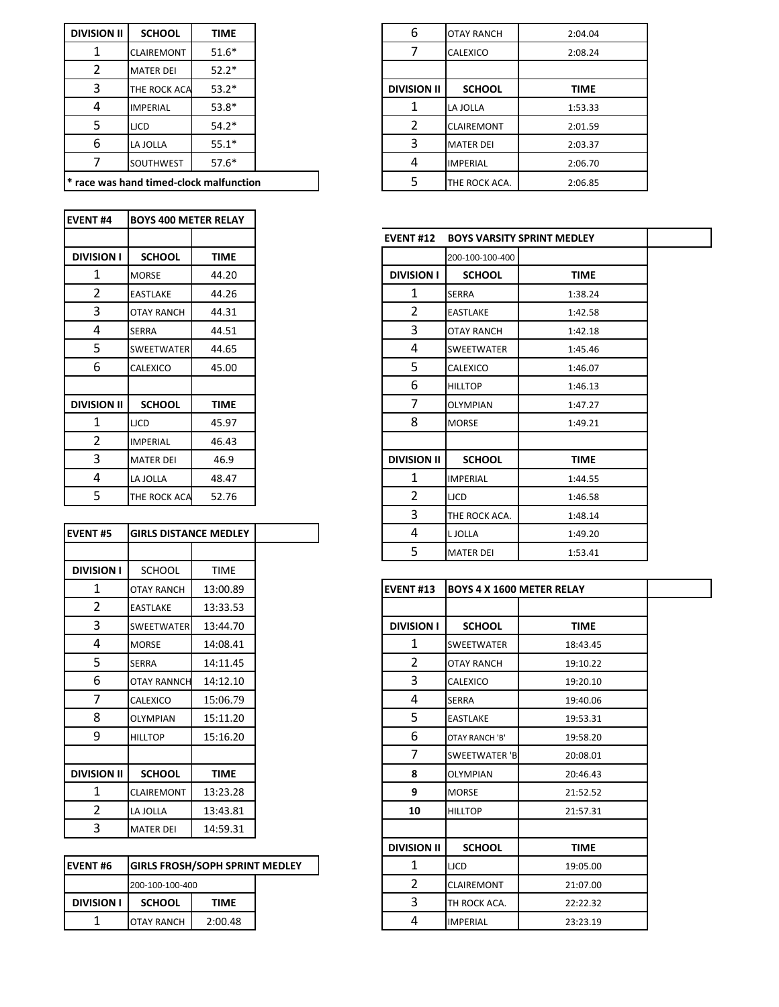| <b>DIVISION II</b> | <b>SCHOOL</b>                                      | <b>TIME</b> |
|--------------------|----------------------------------------------------|-------------|
|                    | <b>CLAIREMONT</b>                                  | $51.6*$     |
| 2                  | <b>MATER DEI</b>                                   | $52.2*$     |
| 3                  | THE ROCK ACA                                       | $53.2*$     |
| 4                  | <b>IMPERIAL</b>                                    | $53.8*$     |
| 5                  | <b>LJCD</b>                                        | $54.2*$     |
| 6                  | LA JOLLA                                           | $55.1*$     |
|                    | <b>SOUTHWEST</b>                                   | $57.6*$     |
|                    | <sup>*</sup> race was hand timed-clock malfunction |             |

| <b>EVENT#4</b>     | <b>BOYS 400 METER RELAY</b> |             |
|--------------------|-----------------------------|-------------|
|                    |                             |             |
| <b>DIVISION I</b>  | <b>SCHOOL</b>               | <b>TIME</b> |
| 1                  | <b>MORSE</b>                | 44.20       |
| $\overline{2}$     | <b>EASTLAKE</b>             | 44.26       |
| 3                  | <b>OTAY RANCH</b>           | 44.31       |
| 4                  | <b>SERRA</b>                | 44.51       |
| 5                  | <b>SWEETWATER</b>           | 44.65       |
| 6                  | CALEXICO                    | 45.00       |
|                    |                             |             |
| <b>DIVISION II</b> | <b>SCHOOL</b>               | <b>TIME</b> |
| 1                  | <b>LJCD</b>                 | 45.97       |
| $\overline{2}$     | <b>IMPERIAL</b>             | 46.43       |
| 3                  | <b>MATER DEI</b>            | 46.9        |
| 4                  | LA JOLLA                    | 48.47       |
| 5                  | THE ROCK ACA                | 52.76       |

| <b>EVENT#5</b>     | <b>GIRLS DISTANCE MEDLEY</b> |             |
|--------------------|------------------------------|-------------|
|                    |                              |             |
| <b>DIVISION I</b>  | <b>SCHOOL</b>                | <b>TIME</b> |
| 1                  | <b>OTAY RANCH</b>            | 13:00.89    |
| $\overline{2}$     | <b>EASTLAKE</b>              | 13:33.53    |
| 3                  | <b>SWEETWATER</b>            | 13:44.70    |
| 4                  | <b>MORSE</b>                 | 14:08.41    |
| 5                  | <b>SERRA</b>                 | 14:11.45    |
| 6                  | <b>OTAY RANNCH</b>           | 14:12.10    |
| 7                  | CALEXICO                     | 15:06.79    |
| 8                  | <b>OLYMPIAN</b>              | 15:11.20    |
| 9                  | <b>HILLTOP</b>               | 15:16.20    |
|                    |                              |             |
| <b>DIVISION II</b> | <b>SCHOOL</b>                | <b>TIME</b> |
| 1                  | CLAIREMONT                   | 13:23.28    |
| $\overline{2}$     | LA JOLLA                     | 13:43.81    |
| 3                  | <b>MATER DEI</b>             | 14:59.31    |
|                    |                              |             |

| <b>IEVENT#6</b>   | <b>GIRLS FROSH/SOPH SPRINT MEDLEY</b> |         |  |  | LICD              | 19:05.00 |
|-------------------|---------------------------------------|---------|--|--|-------------------|----------|
|                   | 200-100-100-400                       |         |  |  | <b>CLAIREMONT</b> | 21:07.00 |
| <b>DIVISION I</b> | <b>SCHOOL</b>                         | TIME    |  |  | TH ROCK ACA.      | 22:22.32 |
|                   | <b>OTAY RANCH</b>                     | 2:00.48 |  |  | <b>IMPERIAL</b>   | 23:23.19 |

| <b>SION II</b> | <b>SCHOOL</b>                    | <b>TIME</b> |  | 6                  | <b>OTAY RANCH</b> |
|----------------|----------------------------------|-------------|--|--------------------|-------------------|
| $\mathbf 1$    | <b>CLAIREMONT</b>                | $51.6*$     |  |                    | <b>CALEXICO</b>   |
| 2              | <b>MATER DEI</b>                 | $52.2*$     |  |                    |                   |
| 3              | THE ROCK ACA                     | $53.2*$     |  | <b>DIVISION II</b> | <b>SCHOOL</b>     |
| 4              | <b>IMPERIAL</b>                  | $53.8*$     |  |                    | LA JOLLA          |
| 5              | <b>LJCD</b>                      | $54.2*$     |  |                    | <b>CLAIREMONT</b> |
| 6              | LA JOLLA                         | $55.1*$     |  | ੨                  | <b>MATER DEI</b>  |
| 7              | SOUTHWEST                        | $57.6*$     |  | 4                  | <b>IMPERIAL</b>   |
|                | was hand timed-clock malfunction |             |  |                    | THE ROCK ACA.     |

|                    |                              |             | <b>EVENT#12</b>    | <b>BOYS VARSITY SPRINT MEDLEY</b> |             |  |
|--------------------|------------------------------|-------------|--------------------|-----------------------------------|-------------|--|
| <b>DIVISION I</b>  | <b>SCHOOL</b>                | <b>TIME</b> |                    | 200-100-100-400                   |             |  |
| 1                  | <b>MORSE</b>                 | 44.20       | <b>DIVISION I</b>  | <b>SCHOOL</b>                     | <b>TIME</b> |  |
| $\overline{2}$     | <b>EASTLAKE</b>              | 44.26       | 1                  | <b>SERRA</b>                      | 1:38.24     |  |
| 3                  | <b>OTAY RANCH</b>            | 44.31       | $\overline{2}$     | <b>EASTLAKE</b>                   | 1:42.58     |  |
| 4                  | <b>SERRA</b>                 | 44.51       | 3                  | <b>OTAY RANCH</b>                 | 1:42.18     |  |
| 5                  | <b>SWEETWATER</b>            | 44.65       | 4                  | <b>SWEETWATER</b>                 | 1:45.46     |  |
| 6                  | CALEXICO                     | 45.00       | 5                  | <b>CALEXICO</b>                   | 1:46.07     |  |
|                    |                              |             | 6                  | <b>HILLTOP</b>                    | 1:46.13     |  |
| <b>DIVISION II</b> | <b>SCHOOL</b>                | TIME        | 7                  | <b>OLYMPIAN</b>                   | 1:47.27     |  |
| 1                  | <b>LJCD</b>                  | 45.97       | 8                  | <b>MORSE</b>                      | 1:49.21     |  |
| $\overline{2}$     | <b>IMPERIAL</b>              | 46.43       |                    |                                   |             |  |
| 3                  | <b>MATER DEI</b>             | 46.9        | <b>DIVISION II</b> | <b>SCHOOL</b>                     | <b>TIME</b> |  |
| 4                  | LA JOLLA                     | 48.47       | 1                  | <b>IMPERIAL</b>                   | 1:44.55     |  |
| 5                  | THE ROCK ACA                 | 52.76       | $\overline{2}$     | <b>LJCD</b>                       | 1:46.58     |  |
|                    |                              |             | 3                  | THE ROCK ACA.                     | 1:48.14     |  |
| VENT#5             | <b>GIRLS DISTANCE MEDLEY</b> |             | 4                  | L JOLLA                           | 1:49.20     |  |
|                    |                              |             | 5                  | <b>MATER DEI</b>                  | 1:53.41     |  |
|                    |                              |             |                    |                                   |             |  |

| 1                  | <b>OTAY RANCH</b>                     | 13:00.89    |  | <b>EVENT#13</b>    | <b>BOYS 4 X 1600 METER RELAY</b> |  |
|--------------------|---------------------------------------|-------------|--|--------------------|----------------------------------|--|
| $\overline{2}$     | <b>EASTLAKE</b>                       | 13:33.53    |  |                    |                                  |  |
| 3                  | <b>SWEETWATER</b>                     | 13:44.70    |  | <b>DIVISION I</b>  | <b>SCHOOL</b>                    |  |
| 4                  | <b>MORSE</b>                          | 14:08.41    |  | 1                  | <b>SWEETWATER</b>                |  |
| 5.                 | <b>SERRA</b>                          | 14:11.45    |  | 2                  | <b>OTAY RANCH</b>                |  |
| 6                  | <b>OTAY RANNCH</b>                    | 14:12.10    |  | 3                  | CALEXICO                         |  |
| 7                  | CALEXICO                              | 15:06.79    |  | 4                  | <b>SERRA</b>                     |  |
| 8                  | <b>OLYMPIAN</b>                       | 15:11.20    |  | 5                  | <b>EASTLAKE</b>                  |  |
| 9                  | <b>HILLTOP</b>                        | 15:16.20    |  | 6                  | OTAY RANCH 'B'                   |  |
|                    |                                       |             |  | 7                  | <b>SWEETWATER 'B</b>             |  |
| <b>DIVISION II</b> | <b>SCHOOL</b>                         | <b>TIME</b> |  | 8                  | <b>OLYMPIAN</b>                  |  |
| 1                  | <b>CLAIREMONT</b>                     | 13:23.28    |  | 9                  | <b>MORSE</b>                     |  |
| $\overline{2}$     | LA JOLLA                              | 13:43.81    |  | 10                 | <b>HILLTOP</b>                   |  |
| 3                  | <b>MATER DEI</b>                      | 14:59.31    |  |                    |                                  |  |
|                    |                                       |             |  | <b>DIVISION II</b> | <b>SCHOOL</b>                    |  |
| VENT#6             | <b>GIRLS FROSH/SOPH SPRINT MEDLEY</b> |             |  | 1                  | <b>LJCD</b>                      |  |
|                    | 200-100-100-400                       |             |  | 2                  | <b>CLAIREMONT</b>                |  |
| <b>DIVISION I</b>  | <b>SCHOOL</b>                         | <b>TIME</b> |  | 3                  | TH ROCK ACA.                     |  |
| 1                  | <b>OTAY RANCH</b>                     | 2:00.48     |  | 4                  | <b>IMPERIAL</b>                  |  |
|                    |                                       |             |  |                    |                                  |  |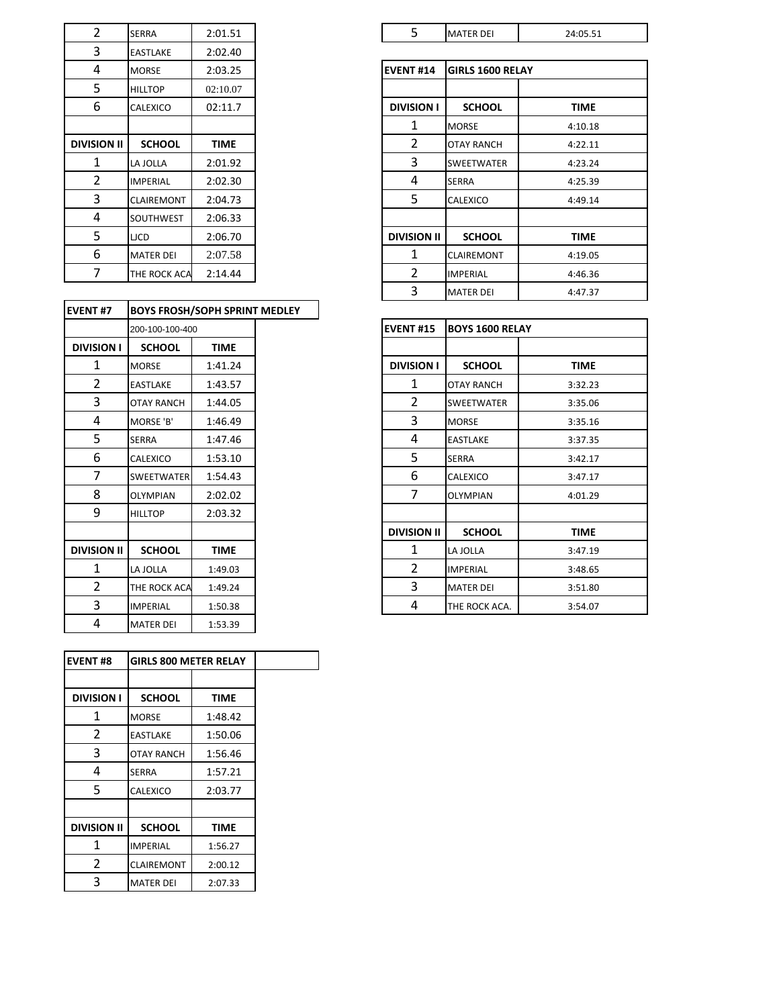| $\overline{2}$     | <b>SERRA</b>      | 2:01.51  |
|--------------------|-------------------|----------|
| 3                  | <b>EASTLAKE</b>   | 2:02.40  |
| 4                  | <b>MORSE</b>      | 2:03.25  |
| 5                  | <b>HILLTOP</b>    | 02:10.07 |
| 6                  | CALEXICO          | 02:11.7  |
|                    |                   |          |
| <b>DIVISION II</b> | <b>SCHOOL</b>     | TIME     |
| 1                  | LA JOLLA          | 2:01.92  |
| 2                  | <b>IMPERIAL</b>   | 2:02.30  |
| 3                  | <b>CLAIREMONT</b> | 2:04.73  |
| 4                  | SOUTHWEST         | 2:06.33  |
| 5                  | <b>LJCD</b>       | 2:06.70  |
| 6                  | <b>MATER DEI</b>  | 2:07.58  |
| 7                  | THE ROCK ACA      | 2:14.44  |
|                    |                   |          |

| <b>EVENT#7</b>     | <b>BOYS FROSH/SOPH SPRINT MEDLEY</b> |             |                    |                        |  |
|--------------------|--------------------------------------|-------------|--------------------|------------------------|--|
|                    | 200-100-100-400                      |             | <b>EVENT#15</b>    | <b>BOYS 1600 RELAY</b> |  |
| <b>DIVISION I</b>  | <b>SCHOOL</b>                        | <b>TIME</b> |                    |                        |  |
| $\mathbf{1}$       | <b>MORSE</b>                         | 1:41.24     | <b>DIVISION I</b>  | <b>SCHOOL</b>          |  |
| $\overline{2}$     | <b>EASTLAKE</b>                      | 1:43.57     | 1                  | <b>OTAY RANCH</b>      |  |
| 3                  | <b>OTAY RANCH</b>                    | 1:44.05     | 2                  | <b>SWEETWATER</b>      |  |
| 4                  | MORSE 'B'                            | 1:46.49     | 3                  | <b>MORSE</b>           |  |
| 5                  | <b>SERRA</b>                         | 1:47.46     | 4                  | <b>EASTLAKE</b>        |  |
| 6                  | CALEXICO                             | 1:53.10     | 5                  | <b>SERRA</b>           |  |
| $\overline{7}$     | <b>SWEETWATER</b>                    | 1:54.43     | 6                  | <b>CALEXICO</b>        |  |
| 8                  | <b>OLYMPIAN</b>                      | 2:02.02     | 7                  | <b>OLYMPIAN</b>        |  |
| 9                  | <b>HILLTOP</b>                       | 2:03.32     |                    |                        |  |
|                    |                                      |             | <b>DIVISION II</b> | <b>SCHOOL</b>          |  |
| <b>DIVISION II</b> | <b>SCHOOL</b>                        | <b>TIME</b> | $\mathbf{1}$       | LA JOLLA               |  |
| $\mathbf{1}$       | LA JOLLA                             | 1:49.03     | $\overline{2}$     | <b>IMPERIAL</b>        |  |
| $\overline{2}$     | THE ROCK ACA                         | 1:49.24     | 3                  | <b>MATER DEI</b>       |  |
| 3                  | <b>IMPERIAL</b>                      | 1:50.38     | 4                  | THE ROCK ACA.          |  |
| 4                  | <b>MATER DEI</b>                     | 1:53.39     |                    |                        |  |

| <b>EVENT#8</b>     | <b>GIRLS 800 METER RELAY</b> |             |  |  |
|--------------------|------------------------------|-------------|--|--|
|                    |                              |             |  |  |
| <b>DIVISION I</b>  | <b>SCHOOL</b>                | <b>TIME</b> |  |  |
| 1                  | <b>MORSE</b>                 | 1:48.42     |  |  |
| 2                  | <b>EASTLAKE</b>              | 1:50.06     |  |  |
| 3                  | <b>OTAY RANCH</b>            | 1:56.46     |  |  |
| 4                  | <b>SERRA</b>                 | 1:57.21     |  |  |
| 5                  | CALEXICO                     | 2:03.77     |  |  |
|                    |                              |             |  |  |
| <b>DIVISION II</b> | <b>SCHOOL</b>                | <b>TIME</b> |  |  |
| 1                  | <b>IMPERIAL</b>              | 1:56.27     |  |  |
| $\overline{2}$     | <b>CLAIREMONT</b>            | 2:00.12     |  |  |
| 3                  | <b>MATER DEI</b>             | 2:07.33     |  |  |

| $\overline{\phantom{0}}$<br><u>.</u> | $C = R$<br>SERRA | $\sim$<br>$\cdot$ . $\cap$ 1<br>,,<br>1.01.01 | - | <b>MATER DEI</b> | 24.05.51<br>.<br>- |
|--------------------------------------|------------------|-----------------------------------------------|---|------------------|--------------------|
|                                      |                  |                                               |   |                  |                    |

| 4                  | <b>MORSE</b>      | 2:03.25     |
|--------------------|-------------------|-------------|
| 5                  | <b>HILLTOP</b>    | 02:10.07    |
| 6                  | CALEXICO          | 02:11.7     |
|                    |                   |             |
| <b>DIVISION II</b> | <b>SCHOOL</b>     | <b>TIME</b> |
| 1                  | LA JOLLA          | 2:01.92     |
| 2                  | <b>IMPERIAL</b>   | 2:02.30     |
| 3                  | <b>CLAIREMONT</b> | 2:04.73     |
| 4                  | SOUTHWEST         | 2:06.33     |
| 5                  | <b>LJCD</b>       | 2:06.70     |
| 6                  | <b>MATER DEI</b>  | 2:07.58     |
| 7                  | THE ROCK ACA      | 2:14.44     |
|                    |                   |             |

|                | 200-100-100-400   |             |  |
|----------------|-------------------|-------------|--|
| SION I         | <b>SCHOOL</b>     | <b>TIME</b> |  |
| 1              | <b>MORSE</b>      | 1:41.24     |  |
| $\overline{2}$ | <b>EASTLAKE</b>   | 1:43.57     |  |
| 3              | <b>OTAY RANCH</b> | 1:44.05     |  |
| 4              | MORSE 'B'         | 1:46.49     |  |
| 5              | <b>SERRA</b>      | 1:47.46     |  |
| 6              | CALEXICO          | 1:53.10     |  |
| 7              | <b>SWEETWATER</b> | 1:54.43     |  |
| 8              | <b>OLYMPIAN</b>   | 2:02.02     |  |
| 9              | <b>HILLTOP</b>    | 2:03.32     |  |
|                |                   |             |  |
| <b>SION II</b> | <b>SCHOOL</b>     | <b>TIME</b> |  |
| 1              | LA JOLLA          | 1:49.03     |  |
| 2              | THE ROCK ACA      | 1:49.24     |  |
| 3              | <b>IMPERIAL</b>   | 1:50.38     |  |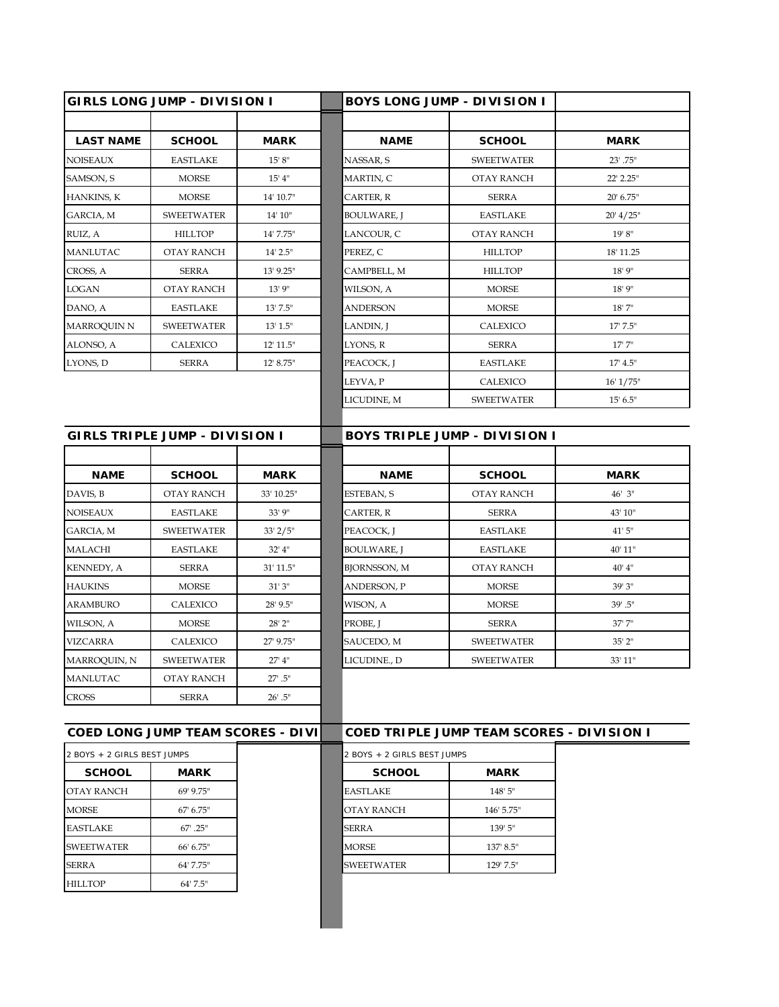|                                       | <b>GIRLS LONG JUMP - DIVISION I</b>      |              | BOYS LONG JUMP - DIVISION I |                                           |             |
|---------------------------------------|------------------------------------------|--------------|-----------------------------|-------------------------------------------|-------------|
|                                       |                                          |              |                             |                                           |             |
| <b>LAST NAME</b>                      | <b>SCHOOL</b>                            | <b>MARK</b>  | <b>NAME</b>                 | <b>SCHOOL</b>                             | <b>MARK</b> |
| <b>NOISEAUX</b>                       | <b>EASTLAKE</b>                          | 15' 8''      | NASSAR, S                   | <b>SWEETWATER</b>                         | 23' .75"    |
| SAMSON, S                             | <b>MORSE</b>                             | 15' 4''      | MARTIN, C                   | OTAY RANCH                                | 22' 2.25"   |
| HANKINS, K                            | <b>MORSE</b>                             | 14' 10.7"    | CARTER, R                   | <b>SERRA</b>                              | 20' 6.75"   |
| GARCIA, M                             | <b>SWEETWATER</b>                        | 14' 10''     | BOULWARE, J                 | <b>EASTLAKE</b>                           | 20' 4/25"   |
| RUIZ, A                               | <b>HILLTOP</b>                           | 14' 7.75"    | LANCOUR, C                  | OTAY RANCH                                | 19' 8''     |
| <b>MANLUTAC</b>                       | OTAY RANCH                               | $14'$ 2.5"   | PEREZ, C                    | <b>HILLTOP</b>                            | 18' 11.25   |
| CROSS, A                              | <b>SERRA</b>                             | 13' 9.25"    | CAMPBELL, M                 | <b>HILLTOP</b>                            | $18'$ 9"    |
| <b>LOGAN</b>                          | <b>OTAY RANCH</b>                        | 13'9''       | WILSON, A                   | <b>MORSE</b>                              | 18' 9"      |
| DANO, A                               | <b>EASTLAKE</b>                          | 13' 7.5"     | ANDERSON                    | <b>MORSE</b>                              | 18'7''      |
| MARROQUIN N                           | <b>SWEETWATER</b>                        | 13' 1.5''    | LANDIN, J                   | CALEXICO                                  | 17' 7.5"    |
| ALONSO, A                             | CALEXICO                                 | 12' 11.5"    | LYONS, R                    | <b>SERRA</b>                              | 17'7''      |
| LYONS, D                              | <b>SERRA</b>                             | 12' 8.75"    | PEACOCK, J                  | <b>EASTLAKE</b>                           | 17' 4.5''   |
|                                       |                                          |              | LEYVA, P                    | CALEXICO                                  | 16' 1/75"   |
|                                       |                                          |              | LICUDINE, M                 | <b>SWEETWATER</b>                         | 15' 6.5''   |
|                                       |                                          |              |                             |                                           |             |
| <b>GIRLS TRIPLE JUMP - DIVISION I</b> |                                          |              |                             | BOYS TRIPLE JUMP - DIVISION I             |             |
|                                       |                                          |              |                             |                                           |             |
| <b>NAME</b>                           | <b>SCHOOL</b>                            | <b>MARK</b>  | <b>NAME</b>                 | <b>SCHOOL</b>                             | <b>MARK</b> |
| DAVIS, B                              | OTAY RANCH                               | 33' 10.25"   | ESTEBAN, S                  | OTAY RANCH                                | 46' 3"      |
| <b>NOISEAUX</b>                       | EASTLAKE                                 | 33' 9"       | CARTER, R                   | <b>SERRA</b>                              | 43' 10"     |
| GARCIA, M                             | <b>SWEETWATER</b>                        | $33'$ $2/5"$ | PEACOCK, J                  | <b>EASTLAKE</b>                           | 41'5''      |
| MALACHI                               | <b>EASTLAKE</b>                          | $32'$ 4"     | BOULWARE, J                 | <b>EASTLAKE</b>                           | 40' 11"     |
| KENNEDY, A                            | <b>SERRA</b>                             | 31' 11.5"    | <b>BJORNSSON, M</b>         | <b>OTAY RANCH</b>                         | 40' 4''     |
| <b>HAUKINS</b>                        | <b>MORSE</b>                             | 31'3''       | ANDERSON, P                 | <b>MORSE</b>                              | 39' 3"      |
| <b>ARAMBURO</b>                       | CALEXICO                                 | 28' 9.5"     | WISON, A                    | <b>MORSE</b>                              | $39'$ .5"   |
| WILSON, A                             | <b>MORSE</b>                             | 28' 2"       | PROBE, J                    | <b>SERRA</b>                              | 37'7"       |
| <b>VIZCARRA</b>                       | CALEXICO                                 | 27' 9.75"    | SAUCEDO, M                  | <b>SWEETWATER</b>                         | 35' 2"      |
| MARROQUIN, N                          | <b>SWEETWATER</b>                        | 27' 4"       | LICUDINE., D                | SWEETWATER                                | 33' 11"     |
| <b>MANLUTAC</b>                       | <b>OTAY RANCH</b>                        | $27'$ .5"    |                             |                                           |             |
| <b>CROSS</b>                          | <b>SERRA</b>                             | $26'$ .5"    |                             |                                           |             |
|                                       |                                          |              |                             |                                           |             |
|                                       | <b>COED LONG JUMP TEAM SCORES - DIVI</b> |              |                             | COED TRIPLE JUMP TEAM SCORES - DIVISION I |             |
| 2 BOYS + 2 GIRLS BEST JUMPS           |                                          |              | 2 BOYS + 2 GIRLS BEST JUMPS |                                           |             |
| <b>SCHOOL</b>                         | <b>MARK</b>                              |              | <b>SCHOOL</b>               | <b>MARK</b>                               |             |
| OTAY RANCH                            | 69' 9.75"                                |              | EASTLAKE                    | 148' 5"                                   |             |
| <b>MORSE</b>                          | 67' 6.75"                                |              | OTAY RANCH                  | 146' 5.75"                                |             |
| <b>EASTLAKE</b>                       | $67^{\circ}$ .25"                        |              | SERRA                       | 139' 5"                                   |             |
| <b>SWEETWATER</b>                     | 66' 6.75"                                |              | MORSE                       | 137' 8.5"                                 |             |
| <b>SERRA</b>                          | 64' 7.75"                                |              | <b>SWEETWATER</b>           | 129' 7.5"                                 |             |
|                                       |                                          |              |                             |                                           |             |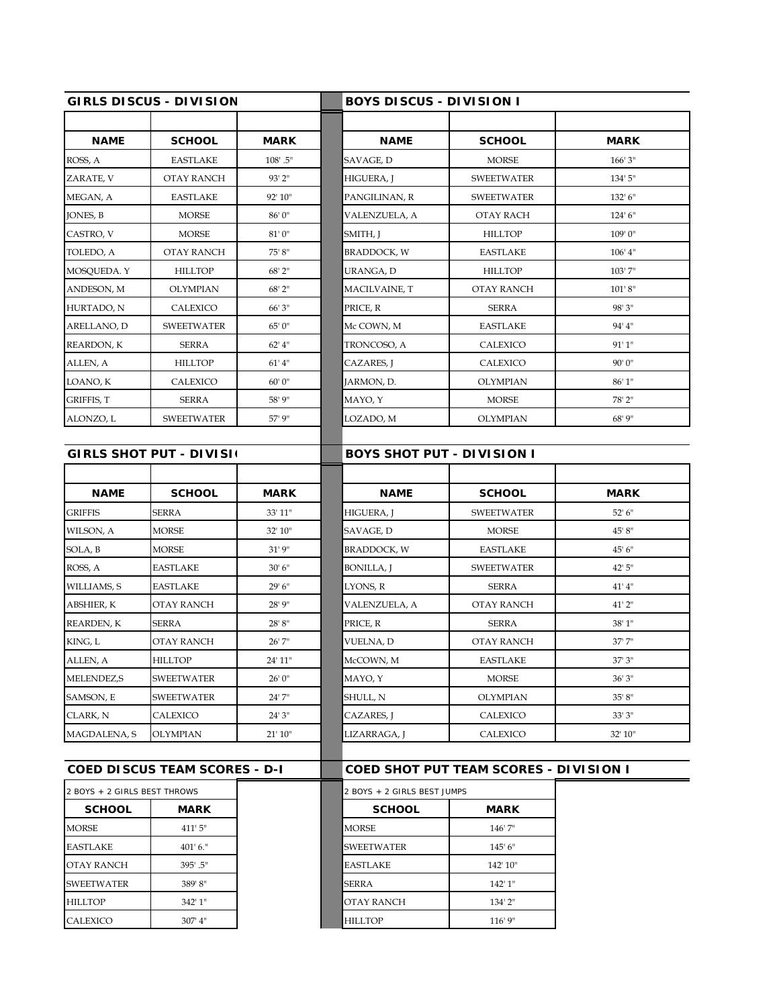|                              | <b>GIRLS DISCUS - DIVISION</b>       |                          | <b>BOYS DISCUS - DIVISION I</b>   |                                        |                         |  |  |  |
|------------------------------|--------------------------------------|--------------------------|-----------------------------------|----------------------------------------|-------------------------|--|--|--|
|                              |                                      |                          |                                   |                                        |                         |  |  |  |
| <b>NAME</b>                  | <b>SCHOOL</b>                        | <b>MARK</b>              | <b>NAME</b>                       | <b>SCHOOL</b>                          | <b>MARK</b>             |  |  |  |
| ROSS, A                      | <b>EASTLAKE</b>                      | $108'$ .5"               | SAVAGE, D                         | <b>MORSE</b>                           | 166'3''                 |  |  |  |
| ZARATE, V                    | OTAY RANCH                           | 93' 2"                   | HIGUERA, J                        | <b>SWEETWATER</b>                      | 134' 5"                 |  |  |  |
| MEGAN, A                     | <b>EASTLAKE</b>                      | 92' 10"                  | PANGILINAN, R                     | <b>SWEETWATER</b>                      | 132' 6"                 |  |  |  |
| JONES, B                     | <b>MORSE</b>                         | 86' 0"                   | VALENZUELA, A                     | OTAY RACH                              | 124' 6"                 |  |  |  |
| CASTRO, V                    | <b>MORSE</b>                         | 81'0''                   | SMITH, J                          | <b>HILLTOP</b>                         | 109' 0"                 |  |  |  |
| TOLEDO, A                    | OTAY RANCH                           | 75' 8"                   | BRADDOCK, W                       | <b>EASTLAKE</b>                        | $106'$ 4"               |  |  |  |
| MOSQUEDA. Y                  | <b>HILLTOP</b>                       | 68' 2"                   | URANGA, D                         | <b>HILLTOP</b>                         | $103'$ 7"               |  |  |  |
| ANDESON, M                   | OLYMPIAN                             | 68' 2"                   | MACILVAINE, T                     | OTAY RANCH                             | 101'8''                 |  |  |  |
| HURTADO, N                   | CALEXICO                             | 66' 3"                   | PRICE, R                          | <b>SERRA</b>                           | 98' 3"                  |  |  |  |
| ARELLANO, D                  | <b>SWEETWATER</b>                    | 65' 0"                   | Mc COWN, M                        | <b>EASTLAKE</b>                        | 94' 4"                  |  |  |  |
| REARDON, K                   | <b>SERRA</b>                         | 62' 4"                   | TRONCOSO, A                       | CALEXICO                               | 91'1''                  |  |  |  |
| ALLEN, A                     | <b>HILLTOP</b>                       | 61' 4''                  | CAZARES, J                        | CALEXICO                               | 90'0''                  |  |  |  |
| LOANO, K                     | CALEXICO                             | 60' 0"                   | JARMON, D.                        | <b>OLYMPIAN</b>                        | 86'1"                   |  |  |  |
| GRIFFIS, T                   | <b>SERRA</b>                         | 58' 9"                   | MAYO, Y                           | <b>MORSE</b>                           | 78' 2"                  |  |  |  |
| ALONZO, L                    | <b>SWEETWATER</b>                    | 57' 9"                   | LOZADO, M                         | OLYMPIAN                               | 68' 9"                  |  |  |  |
|                              |                                      |                          |                                   |                                        |                         |  |  |  |
|                              | <b>GIRLS SHOT PUT - DIVISI</b>       |                          | <b>BOYS SHOT PUT - DIVISION I</b> |                                        |                         |  |  |  |
|                              |                                      |                          |                                   |                                        |                         |  |  |  |
| <b>NAME</b>                  | <b>SCHOOL</b>                        | <b>MARK</b>              | <b>NAME</b>                       | <b>SCHOOL</b>                          | <b>MARK</b>             |  |  |  |
| <b>GRIFFIS</b>               | SERRA                                | 33' 11"                  | HIGUERA, J                        | <b>SWEETWATER</b>                      | 52' 6''                 |  |  |  |
| WILSON, A                    | <b>MORSE</b>                         | 32' 10"                  | SAVAGE, D                         | <b>MORSE</b>                           | 45' 8"                  |  |  |  |
| SOLA, B                      | <b>MORSE</b>                         | 31'9''                   | <b>BRADDOCK, W</b>                | <b>EASTLAKE</b>                        | 45' 6"                  |  |  |  |
| ROSS, A                      | <b>EASTLAKE</b>                      | 30'6''                   | BONILLA, J                        | <b>SWEETWATER</b>                      | 42' 5"                  |  |  |  |
| WILLIAMS, S                  | <b>EASTLAKE</b>                      | 29' 6"                   | LYONS, R                          | <b>SERRA</b>                           | 41' 4''                 |  |  |  |
| ABSHIER, K                   | OTAY RANCH                           | 28' 9"                   | VALENZUELA, A                     | OTAY RANCH                             | $41'$ 2"                |  |  |  |
| REARDEN, K                   | <b>SERRA</b>                         | 28' 8"                   | PRICE, R                          | <b>SERRA</b>                           | $38^{\circ}\,1^{\circ}$ |  |  |  |
| KING, L                      | OTAY RANCH                           | 26' 7"                   | VUELNA, D                         | OTAY RANCH                             | 37' 7"                  |  |  |  |
| ALLEN, A                     | <b>HILLTOP</b>                       | $24^{\circ}\,11^{\circ}$ | McCOWN, M                         | <b>FASTLAKE</b>                        | $37^\circ\,3^\circ$     |  |  |  |
| <b>MELENDEZ,S</b>            | <b>SWEETWATER</b>                    | 26' 0"                   | MAYO, Y                           | <b>MORSE</b>                           | 36'3''                  |  |  |  |
| SAMSON, E                    | <b>SWEETWATER</b>                    | 24' 7"                   | SHULL, N                          | OLYMPIAN                               | 35' 8''                 |  |  |  |
| CLARK, N                     | CALEXICO                             | 24'3''                   | CAZARES, J                        | CALEXICO                               | 33'3''                  |  |  |  |
| MAGDALENA, S                 | OLYMPIAN                             | 21' 10''                 | LIZARRAGA, J                      | CALEXICO                               | 32' 10"                 |  |  |  |
|                              |                                      |                          |                                   |                                        |                         |  |  |  |
|                              | <b>COED DISCUS TEAM SCORES - D-I</b> |                          |                                   | COED SHOT PUT TEAM SCORES - DIVISION I |                         |  |  |  |
| 2 BOYS + 2 GIRLS BEST THROWS |                                      |                          |                                   | 2 BOYS + 2 GIRLS BEST JUMPS            |                         |  |  |  |
| <b>SCHOOL</b>                | <b>MARK</b>                          |                          | <b>SCHOOL</b>                     | <b>MARK</b>                            |                         |  |  |  |
| <b>MORSE</b>                 | 411' 5"                              |                          | MORSE                             | 146'7"                                 |                         |  |  |  |
| <b>EASTLAKE</b>              | $401'$ 6."                           |                          | <b>SWEETWATER</b>                 | 145'6''                                |                         |  |  |  |
| OTAY RANCH                   | 395'.5"                              |                          | <b>EASTLAKE</b>                   | 142' 10"                               |                         |  |  |  |
| <b>SWEETWATER</b>            | 389' 8"                              |                          | SERRA                             | 142' 1"                                |                         |  |  |  |
|                              |                                      |                          |                                   |                                        |                         |  |  |  |
| <b>HILLTOP</b>               | 342' 1"                              |                          | OTAY RANCH                        | 134' 2"                                |                         |  |  |  |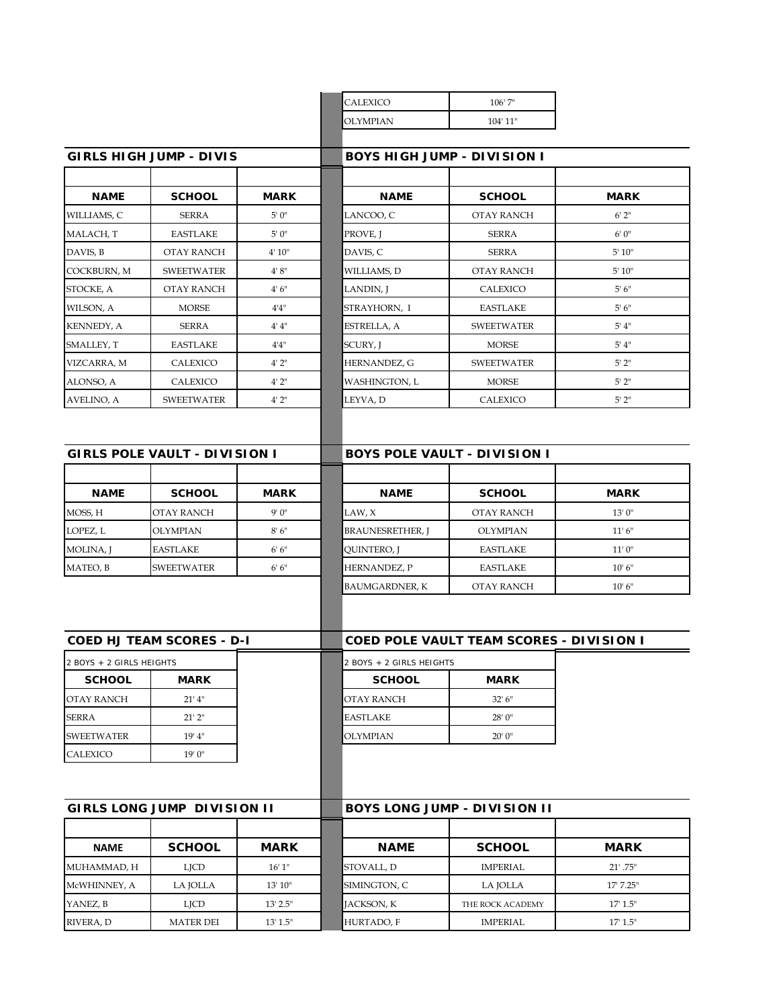| <b>CALEXICO</b> | $106'$ 7"  |
|-----------------|------------|
| <b>OLYMPIAN</b> | $104'$ 11" |
|                 |            |

| GIRLS HIGH JUMP - DIVIS |                   |             |  |  |  |  |  |  |
|-------------------------|-------------------|-------------|--|--|--|--|--|--|
|                         |                   |             |  |  |  |  |  |  |
| <b>NAME</b>             | <b>SCHOOL</b>     | <b>MARK</b> |  |  |  |  |  |  |
| WILLIAMS, C             | <b>SERRA</b>      | 5'0''       |  |  |  |  |  |  |
| MALACH, T               | <b>EASTLAKE</b>   | 5'0''       |  |  |  |  |  |  |
| DAVIS, B                | OTAY RANCH        | 4' 10''     |  |  |  |  |  |  |
| COCKBURN, M             | <b>SWEETWATER</b> | 4'8''       |  |  |  |  |  |  |
| STOCKE, A               | OTAY RANCH        | 4'6''       |  |  |  |  |  |  |
| WILSON, A               | <b>MORSE</b>      | 4'4''       |  |  |  |  |  |  |
| <b>KENNEDY, A</b>       | <b>SERRA</b>      | 4' 4''      |  |  |  |  |  |  |
| SMALLEY, T              | <b>EASTLAKE</b>   | 4'4''       |  |  |  |  |  |  |
| VIZCARRA, M             | CALEXICO          | 4'2''       |  |  |  |  |  |  |
| ALONSO, A               | <b>CALEXICO</b>   | 4'2''       |  |  |  |  |  |  |
| AVELINO, A              | <b>SWEETWATER</b> | 4'2''       |  |  |  |  |  |  |

|             | GIRLS HIGH JUMP - DIVIS |             | <b>BOYS HIGH JUMP - DIVISION I</b> |                   |             |  |  |
|-------------|-------------------------|-------------|------------------------------------|-------------------|-------------|--|--|
|             |                         |             |                                    |                   |             |  |  |
| <b>NAME</b> | <b>SCHOOL</b>           | <b>MARK</b> | <b>NAME</b>                        | <b>SCHOOL</b>     | <b>MARK</b> |  |  |
| WILLIAMS, C | SERRA                   | 5'0''       | LANCOO, C                          | <b>OTAY RANCH</b> | 6'2''       |  |  |
| MALACH, T   | <b>EASTLAKE</b>         | 5'0''       | PROVE, J                           | <b>SERRA</b>      | 6'0''       |  |  |
| DAVIS, B    | OTAY RANCH              | 4' 10''     | DAVIS, C                           | <b>SERRA</b>      | 5'10''      |  |  |
| COCKBURN, M | <b>SWEETWATER</b>       | 4' 8''      | WILLIAMS, D                        | OTAY RANCH        | 5' 10''     |  |  |
| STOCKE, A   | <b>OTAY RANCH</b>       | 4'6''       | LANDIN, J                          | CALEXICO          | 5'6''       |  |  |
| WILSON, A   | <b>MORSE</b>            | 4'4''       | STRAYHORN, I                       | <b>EASTLAKE</b>   | 5'6''       |  |  |
| KENNEDY, A  | SERRA                   | 4' 4''      | ESTRELLA, A                        | <b>SWEETWATER</b> | 5' 4''      |  |  |
| SMALLEY, T  | <b>EASTLAKE</b>         | 4'4''       | SCURY, I                           | <b>MORSE</b>      | 5' 4''      |  |  |
| VIZCARRA, M | CALEXICO                | 4'2''       | HERNANDEZ, G                       | <b>SWEETWATER</b> | 5'2''       |  |  |
| ALONSO, A   | CALEXICO                | 4'2''       | WASHINGTON, L                      | <b>MORSE</b>      | 5'2"        |  |  |
| AVELINO, A  | <b>SWEETWATER</b>       | 4'2''       | LEYVA, D                           | CALEXICO          | 5'2''       |  |  |

| <b>GIRLS POLE VAULT - DIVISION I</b> |                   |             |  |  |  |
|--------------------------------------|-------------------|-------------|--|--|--|
|                                      |                   |             |  |  |  |
| <b>NAME</b>                          | <b>SCHOOL</b>     | <b>MARK</b> |  |  |  |
| MOSS, H                              | <b>OTAY RANCH</b> | 9'0''       |  |  |  |
| LOPEZ, L                             | <b>OLYMPIAN</b>   | 8'6''       |  |  |  |
| <b>MOLINA, J</b>                     | <b>EASTLAKE</b>   | 6'6''       |  |  |  |
| MATEO, B                             | <b>SWEETWATER</b> | 6'6''       |  |  |  |

| <b>GIRLS POLE VAULT - DIVISION I</b> |                   | <b>BOYS POLE VAULT - DIVISION I</b> |                         |                   |             |
|--------------------------------------|-------------------|-------------------------------------|-------------------------|-------------------|-------------|
|                                      |                   |                                     |                         |                   |             |
| <b>NAME</b>                          | <b>SCHOOL</b>     | <b>MARK</b>                         | <b>NAME</b>             | <b>SCHOOL</b>     | <b>MARK</b> |
| MOSS, H                              | <b>OTAY RANCH</b> | 9'0''                               | LAW, X                  | <b>OTAY RANCH</b> | 13'0''      |
| LOPEZ, L                             | <b>OLYMPIAN</b>   | 8'6''                               | <b>BRAUNESRETHER, J</b> | <b>OLYMPIAN</b>   | 11'6''      |
| MOLINA, J                            | <b>EASTLAKE</b>   | 6'6''                               | QUINTERO, J             | <b>EASTLAKE</b>   | 11'0''      |
| MATEO, B                             | <b>SWEETWATER</b> | 6'6''                               | <b>HERNANDEZ, P</b>     | <b>EASTLAKE</b>   | 10'6''      |
|                                      |                   |                                     | <b>BAUMGARDNER, K</b>   | <b>OTAY RANCH</b> | 10'6''      |
|                                      |                   |                                     |                         |                   |             |

| <b>COED HJ TEAM SCORES - D-I</b> |             | <b>COED POLE VAULT TEAM SCORES - DIVISION I</b> |             |  |
|----------------------------------|-------------|-------------------------------------------------|-------------|--|
| 2 BOYS + 2 GIRLS HEIGHTS         |             | 2 BOYS + 2 GIRLS HEIGHTS                        |             |  |
| <b>SCHOOL</b>                    | <b>MARK</b> | <b>SCHOOL</b>                                   | <b>MARK</b> |  |
| <b>OTAY RANCH</b>                | $21'$ 4"    | IOTAY RANCH                                     | 32' 6''     |  |
| <b>SERRA</b>                     | 21'2''      | EASTLAKE                                        | 28'0''      |  |
| <b>SWEETWATER</b>                | 19'4"       | <b>OLYMPIAN</b>                                 | 20'0''      |  |
| CALEXICO                         | 19'0''      |                                                 |             |  |

| GIRLS LONG JUMP DIVISION II |                  | <b>BOYS LONG JUMP - DIVISION II</b> |              |                  |                |
|-----------------------------|------------------|-------------------------------------|--------------|------------------|----------------|
|                             |                  |                                     |              |                  |                |
| <b>NAME</b>                 | <b>SCHOOL</b>    | <b>MARK</b>                         | <b>NAME</b>  | <b>SCHOOL</b>    | <b>MARK</b>    |
| MUHAMMAD, H                 | <b>LICD</b>      | 16'1"                               | STOVALL, D   | <b>IMPERIAL</b>  | $21'$ .75"     |
| McWHINNEY, A                | LA JOLLA         | 13'10''                             | SIMINGTON, C | LA JOLLA         | $17'$ $7.25''$ |
| YANEZ, B                    | <b>LICD</b>      | $13'$ $2.5"$                        | JACKSON, K   | THE ROCK ACADEMY | 17' 1.5''      |
| RIVERA, D                   | <b>MATER DEI</b> | 13' 1.5"                            | HURTADO, F   | <b>IMPERIAL</b>  | 17' 1.5''      |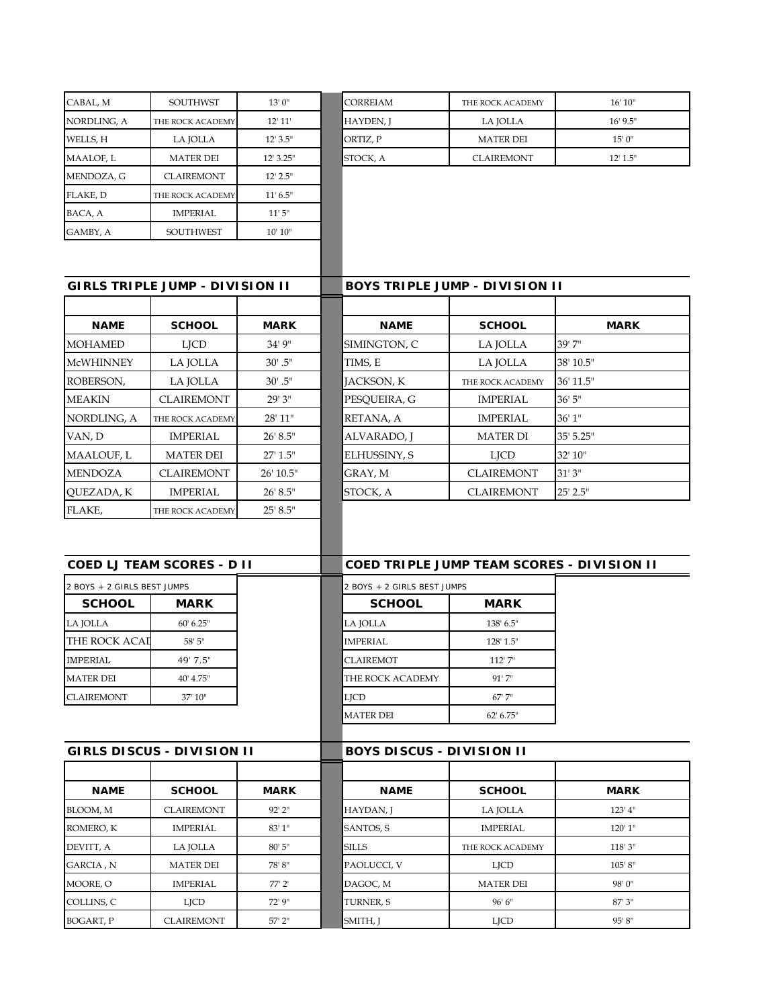| CABAL, M                                    | <b>SOUTHWST</b>                   | 13'0''        | CORREIAM                         | THE ROCK ACADEMY                           | 16' 10''      |
|---------------------------------------------|-----------------------------------|---------------|----------------------------------|--------------------------------------------|---------------|
| NORDLING, A                                 | THE ROCK ACADEMY                  | 12' 11'       | HAYDEN, J                        | LA JOLLA                                   | 16' 9.5"      |
| WELLS, H                                    | LA JOLLA                          | 12' 3.5"      | ORTIZ, P                         | <b>MATER DEI</b>                           | 15'0''        |
| MAALOF, L                                   | <b>MATER DEI</b>                  | 12' 3.25"     | STOCK, A                         | <b>CLAIREMONT</b>                          | $12'$ $1.5''$ |
| MENDOZA, G                                  | <b>CLAIREMONT</b>                 | 12' 2.5''     |                                  |                                            |               |
| FLAKE, D                                    | THE ROCK ACADEMY                  | 11' 6.5''     |                                  |                                            |               |
| BACA, A                                     | <b>IMPERIAL</b>                   | 11'5''        |                                  |                                            |               |
| GAMBY, A                                    | <b>SOUTHWEST</b>                  | 10' 10''      |                                  |                                            |               |
|                                             |                                   |               |                                  |                                            |               |
|                                             | GIRLS TRIPLE JUMP - DIVISION II   |               |                                  | BOYS TRIPLE JUMP - DIVISION II             |               |
| <b>NAME</b>                                 | <b>SCHOOL</b>                     | <b>MARK</b>   | <b>NAME</b>                      | <b>SCHOOL</b>                              | <b>MARK</b>   |
| <b>MOHAMED</b>                              | <b>LJCD</b>                       | 34'9''        | SIMINGTON, C                     | LA JOLLA                                   | 39'7"         |
| <b>McWHINNEY</b>                            | LA JOLLA                          | $30'$ . $5''$ | TIMS, E                          | LA JOLLA                                   | 38' 10.5"     |
| ROBERSON,                                   | LA JOLLA                          | $30'$ .5"     | JACKSON, K                       | THE ROCK ACADEMY                           | 36' 11.5"     |
| <b>MEAKIN</b>                               | <b>CLAIREMONT</b>                 | 29' 3"        | PESQUEIRA, G                     | <b>IMPERIAL</b>                            | 36'5''        |
| NORDLING, A                                 | THE ROCK ACADEMY                  | 28' 11"       | RETANA, A                        | <b>IMPERIAL</b>                            | 36'1''        |
| VAN, D                                      | <b>IMPERIAL</b>                   | 26' 8.5"      | ALVARADO, J                      | <b>MATER DI</b>                            | 35' 5.25"     |
| MAALOUF, L                                  | <b>MATER DEI</b>                  | 27' 1.5"      | ELHUSSINY, S                     | <b>LJCD</b>                                | 32' 10"       |
| <b>MENDOZA</b>                              | <b>CLAIREMONT</b>                 | 26' 10.5"     | GRAY, M                          | <b>CLAIREMONT</b>                          | 31'3''        |
| QUEZADA, K                                  | <b>IMPERIAL</b>                   | 26' 8.5"      | STOCK, A                         | <b>CLAIREMONT</b>                          | 25' 2.5"      |
|                                             | <b>COED LJ TEAM SCORES - D II</b> |               |                                  | COED TRIPLE JUMP TEAM SCORES - DIVISION II |               |
| 2 BOYS + 2 GIRLS BEST JUMPS                 |                                   |               | 2 BOYS + 2 GIRLS BEST JUMPS      |                                            |               |
| <b>SCHOOL</b>                               | <b>MARK</b>                       |               | <b>SCHOOL</b>                    | <b>MARK</b>                                |               |
| LA JOLLA                                    | 60' 6.25"                         |               | LA JOLLA                         | 138' 6.5"                                  |               |
| THE ROCK ACAI                               | 58' 5"                            |               | <b>IMPERIAL</b>                  | 128' 1.5"                                  |               |
| $\label{eq:impr} {\small\texttt{IMPERIAL}}$ | 49' 7.5'                          |               | <b>CLAIREMOT</b>                 | 112' 7"                                    |               |
| <b>MATER DEI</b>                            | 40' 4.75"                         |               | THE ROCK ACADEMY                 | 91'7''                                     |               |
| <b>CLAIREMONT</b>                           | 37' 10"                           |               | <b>LJCD</b>                      | 67'7"                                      |               |
|                                             |                                   |               | <b>MATER DEI</b>                 | 62' 6.75"                                  |               |
|                                             | <b>GIRLS DISCUS - DIVISION II</b> |               | <b>BOYS DISCUS - DIVISION II</b> |                                            |               |
|                                             |                                   |               |                                  |                                            |               |
| <b>NAME</b>                                 | <b>SCHOOL</b>                     | <b>MARK</b>   | <b>NAME</b>                      | <b>SCHOOL</b>                              | <b>MARK</b>   |
| BLOOM, M                                    | <b>CLAIREMONT</b>                 | 92' 2"        | HAYDAN, J                        | LA JOLLA                                   | $123'$ 4"     |
| ROMERO, K                                   | <b>IMPERIAL</b>                   | 83' 1"        | SANTOS, S                        | <b>IMPERIAL</b>                            | 120' 1"       |
| DEVITT, A                                   | LA JOLLA                          | $80'$ 5"      | <b>SILLS</b>                     | THE ROCK ACADEMY                           | 118'3''       |
| GARCIA , N                                  | <b>MATER DEI</b>                  | 78'8"         | PAOLUCCI, V                      | <b>LJCD</b>                                | 105' 8''      |
| MOORE, O                                    | <b>IMPERIAL</b>                   | 77' 2'        | DAGOC, M                         | <b>MATER DEI</b>                           | 98'0"         |
| COLLINS, C                                  | <b>LJCD</b>                       | 72' 9"        | TURNER, S                        | 96' 6"                                     | 87' 3"        |
| <b>BOGART, P</b>                            | <b>CLAIREMONT</b>                 | 57' 2"        | SMITH, J                         | LJCD                                       | 95'8"         |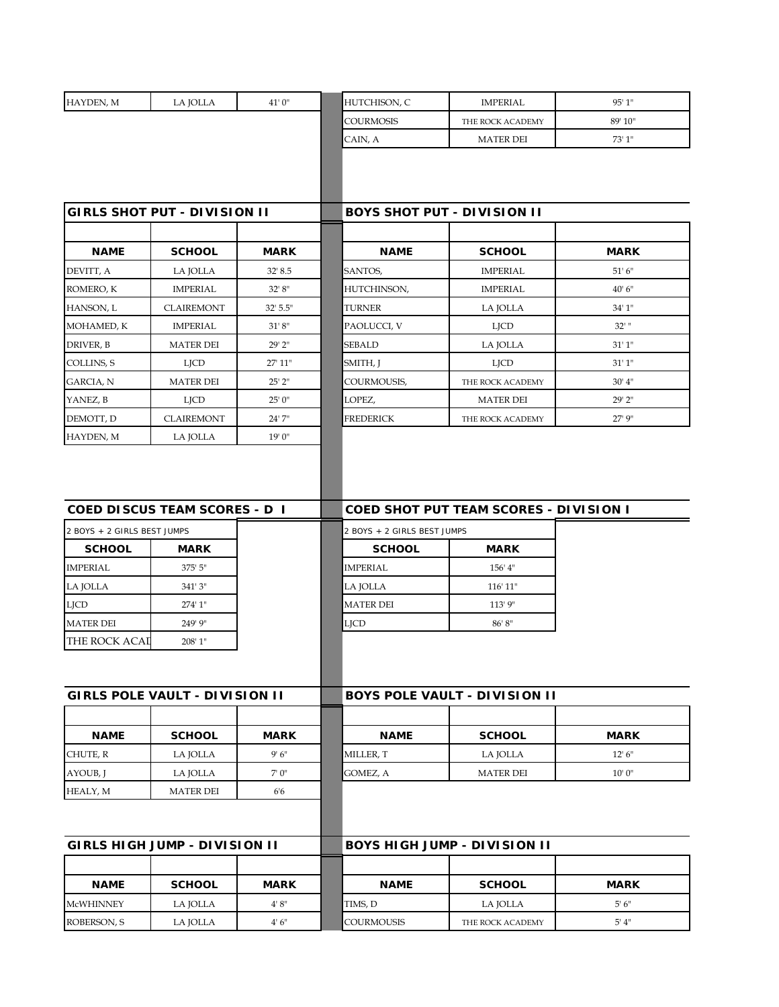| ROBERSON, S                     | LA JOLLA                              | 4'6''       | COURMOUSIS                  | THE ROCK ACADEMY                              | 5' 4''            |
|---------------------------------|---------------------------------------|-------------|-----------------------------|-----------------------------------------------|-------------------|
| <b>McWHINNEY</b>                | LA JOLLA                              | 4' 8''      | TIMS, D                     | LA JOLLA                                      | 5'6''             |
| <b>NAME</b>                     | <b>SCHOOL</b>                         | <b>MARK</b> | <b>NAME</b>                 | <b>SCHOOL</b>                                 | <b>MARK</b>       |
|                                 |                                       |             |                             |                                               |                   |
|                                 | GIRLS HIGH JUMP - DIVISION II         |             |                             | BOYS HIGH JUMP - DIVISION II                  |                   |
|                                 |                                       |             |                             |                                               |                   |
| HEALY, M                        | <b>MATER DEI</b>                      | 6'6         |                             |                                               |                   |
| AYOUB, J                        | LA JOLLA                              | 7'0''       | GOMEZ, A                    | <b>MATER DEI</b>                              | 10'0''            |
| CHUTE, R                        | LA JOLLA                              | 9'6''       | MILLER, T                   | LA JOLLA                                      | 12' 6''           |
| <b>NAME</b>                     | <b>SCHOOL</b>                         | <b>MARK</b> | <b>NAME</b>                 | <b>SCHOOL</b>                                 | <b>MARK</b>       |
|                                 |                                       |             |                             |                                               |                   |
|                                 | <b>GIRLS POLE VAULT - DIVISION II</b> |             |                             | BOYS POLE VAULT - DIVISION II                 |                   |
|                                 |                                       |             |                             |                                               |                   |
|                                 |                                       |             |                             |                                               |                   |
| THE ROCK ACAL                   | 208' 1"                               |             | LJCD                        |                                               |                   |
| <b>LJCD</b><br><b>MATER DEI</b> | 274' 1"<br>249' 9"                    |             | <b>MATER DEI</b>            | 113' 9"<br>86' 8''                            |                   |
| LA JOLLA                        | 341'3"                                |             | LA JOLLA                    | 116' 11"                                      |                   |
| <b>IMPERIAL</b>                 | 375' 5"                               |             | <b>IMPERIAL</b>             | 156' 4"                                       |                   |
| <b>SCHOOL</b>                   |                                       |             | <b>SCHOOL</b>               |                                               |                   |
| 2 BOYS + 2 GIRLS BEST JUMPS     | <b>MARK</b>                           |             | 2 BOYS + 2 GIRLS BEST JUMPS | <b>MARK</b>                                   |                   |
|                                 | <b>COED DISCUS TEAM SCORES - D I</b>  |             |                             | <b>COED SHOT PUT TEAM SCORES - DIVISION I</b> |                   |
| HAYDEN, M                       | LA JOLLA                              | 19' 0"      |                             |                                               |                   |
| DEMOTT, D                       | <b>CLAIREMONT</b>                     | 24'7"       | <b>FREDERICK</b>            | THE ROCK ACADEMY                              | 27' 9"            |
| YANEZ, B                        | <b>LJCD</b>                           | 25' 0"      | LOPEZ,                      | <b>MATER DEI</b>                              | 29' 2"            |
| GARCIA, N                       | <b>MATER DEI</b>                      | $25'$ $2''$ | COURMOUSIS,                 | THE ROCK ACADEMY                              | 30' 4''           |
| COLLINS, S                      | <b>LJCD</b>                           | 27' 11"     | SMITH, J                    | <b>LJCD</b>                                   | 31'1''            |
| DRIVER, B                       | <b>MATER DEI</b>                      | 29' 2"      | <b>SEBALD</b>               | LA JOLLA                                      | 31'1''            |
| MOHAMED, K                      | <b>IMPERIAL</b>                       | 31'8''      | PAOLUCCI, V                 | LJCD                                          | 32'               |
| HANSON, L                       | <b>CLAIREMONT</b>                     | 32' 5.5"    | <b>TURNER</b>               | LA JOLLA                                      | 34' 1"            |
| ROMERO, K                       | <b>IMPERIAL</b>                       | 32' 8''     | HUTCHINSON,                 | <b>IMPERIAL</b>                               | 40'6''            |
| DEVITT, A                       | LA JOLLA                              | 32' 8.5     | SANTOS,                     | <b>IMPERIAL</b>                               | 51'6''            |
| <b>NAME</b>                     | <b>SCHOOL</b>                         | <b>MARK</b> | <b>NAME</b>                 | <b>SCHOOL</b>                                 | <b>MARK</b>       |
|                                 |                                       |             |                             |                                               |                   |
|                                 | <b>GIRLS SHOT PUT - DIVISION II</b>   |             |                             | <b>BOYS SHOT PUT - DIVISION II</b>            |                   |
|                                 |                                       |             | CAIN, A                     | <b>MATER DEI</b>                              |                   |
|                                 |                                       |             | <b>COURMOSIS</b>            | THE ROCK ACADEMY                              | 89' 10"<br>73'1'' |
| HAYDEN, M                       | LA JOLLA                              | 41'0"       | HUTCHISON, C                | <b>IMPERIAL</b>                               | 95' 1"            |
|                                 |                                       |             |                             |                                               |                   |